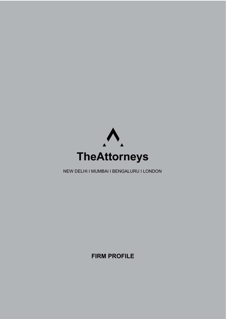

NEW DELHI I MUMBAI I BENGALURU I LONDON

**FIRM PROFILE**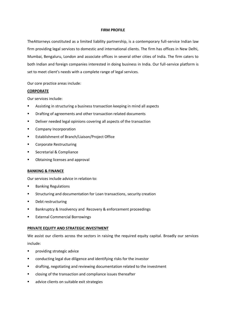### **FIRM PROFILE**

TheAttorneys constituted as a limited liability partnership, is a contemporary full-service Indian law firm providing legal services to domestic and international clients. The firm has offices in New Delhi, Mumbai, Bengaluru, London and associate offices in several other cities of India. The firm caters to both Indian and foreign companies interested in doing business in India. Our full-service platform is set to meet client's needs with a complete range of legal services.

Our core practice areas include:

## **CORPORATE**

Our services include:

- Assisting in structuring a business transaction keeping in mind all aspects
- **•** Drafting of agreements and other transaction related documents
- **•** Deliver needed legal opinions covering all aspects of the transaction
- **E** Company Incorporation
- **Establishment of Branch/Liaison/Project Office**
- **E** Corporate Restructuring
- **EXECCEDE Secretarial & Compliance**
- **•** Obtaining licenses and approval

## **BANKING & FINANCE**

Our services include advice in relation to:

- **Banking Regulations**
- Structuring and documentation for Loan transactions, security creation
- **•** Debt restructuring
- Bankruptcy & Insolvency and Recovery & enforcement proceedings
- **External Commercial Borrowings**

## **PRIVATE EQUITY AND STRATEGIC INVESTMENT**

We assist our clients across the sectors in raising the required equity capital. Broadly our services include:

- **Providing strategic advice**
- conducting legal due diligence and identifying risks for the investor
- drafting, negotiating and reviewing documentation related to the investment
- **EXECO is also in the transaction and compliance issues thereafter**
- **a** advice clients on suitable exit strategies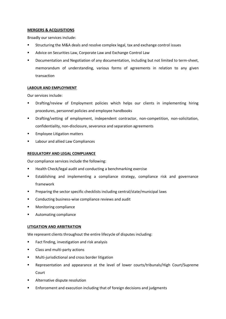## **MERGERS & ACQUISITIONS**

Broadly our services include:

- Structuring the M&A deals and resolve complex legal, tax and exchange control issues
- **Advice on Securities Law, Corporate Law and Exchange Control Law**
- **•** Documentation and Negotiation of any documentation, including but not limited to term-sheet, memorandum of understanding, various forms of agreements in relation to any given transaction

## **LABOUR AND EMPLOYMENT**

Our services include:

- Drafting/review of Employment policies which helps our clients in implementing hiring procedures, personnel policies and employee handbooks
- Drafting/vetting of employment, independent contractor, non-competition, non-solicitation, confidentiality, non-disclosure, severance and separation agreements
- **Employee Litigation matters**
- **EXECUTE:** Labour and allied Law Compliances

## **REGULATORY AND LEGAL COMPLIANCE**

Our compliance services include the following:

- Health Check/legal audit and conducting a benchmarking exercise
- **Establishing and implementing a compliance strategy, compliance risk and governance** framework
- Preparing the sector specific checklists including central/state/municipal laws
- **EXECONDUCTING DUST CONDUCTS** COMPLIANCE reviews and audit
- **Monitoring compliance**
- Automating compliance

## **LITIGATION AND ARBITRATION**

We represent clients throughout the entire lifecycle of disputes including:

- **Fact finding, investigation and risk analysis**
- **EXEC** Class and multi-party actions
- **Multi-jurisdictional and cross border litigation**
- Representation and appearance at the level of lower courts/tribunals/High Court/Supreme Court
- **Alternative dispute resolution**
- **Enforcement and execution including that of foreign decisions and judgments**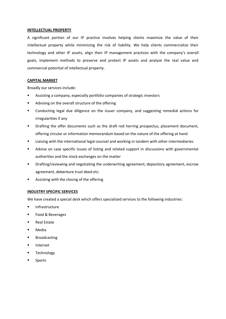#### **INTELLECTUAL PROPERTY**

A significant portion of our IP practice involves helping clients maximize the value of their intellectual property while minimizing the risk of liability. We help clients commercialize their technology and other IP assets, align their IP management practices with the company's overall goals, implement methods to preserve and protect IP assets and analyze the real value and commercial potential of intellectual property.

# **CAPITAL MARKET**

Broadly our services include:

- Assisting a company, especially portfolio companies of strategic investors
- Advising on the overall structure of the offering
- Conducting legal due diligence on the issuer company, and suggesting remedial actions for irregularities if any
- **•** Drafting the offer documents such as the draft red herring prospectus, placement document, offering circular or information memorandum based on the nature of the offering at hand
- Liaising with the international legal counsel and working in tandem with other intermediaries
- Advise on case specific issues of listing and related support in discussions with governmental authorities and the stock exchanges on the matter
- Drafting/reviewing and negotiating the underwriting agreement, depository agreement, escrow agreement, debenture trust deed etc.
- **EXED:** Assisting with the closing of the offering

## **INDUSTRY SPECIFIC SERVICES**

We have created a special desk which offers specialized services to the following industries:

- **Infrastructure**
- Food & Beverages
- Real Estate
- Media
- **Broadcasting**
- **Internet**
- **Technology**
- Sports